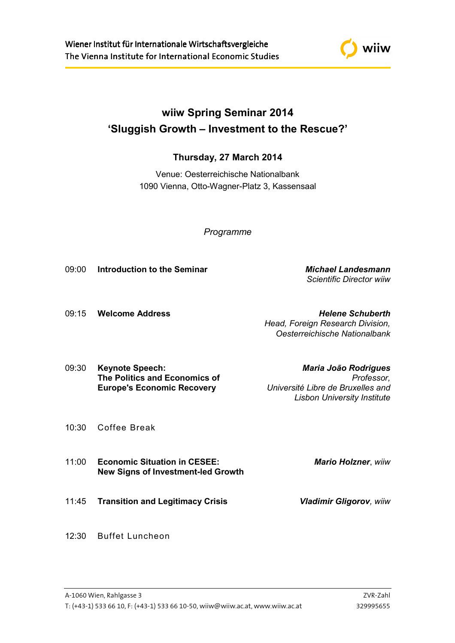

## **wiiw Spring Seminar 2014 'Sluggish Growth – Investment to the Rescue?'**

## **Thursday, 27 March 2014**

Venue: Oesterreichische Nationalbank 1090 Vienna, Otto-Wagner-Platz 3, Kassensaal

*Programme* 

09:00 **Introduction to the Seminar** *Michael Landesmann*

 *Scientific Director wiiw*

09:15 **Welcome Address** *Helene Schuberth Head, Foreign Research Division, Oesterreichische Nationalbank*

09:30 **Keynote Speech:** *Maria João Rodrigues*  **The Politics and Economics of** *Professor,*   **Europe's Economic Recovery** *Université Libre de Bruxelles and* 

*Lisbon University Institute*

- 10:30 Coffee Break
- 11:00 **Economic Situation in CESEE:** *Mario Holzner*, *wiiw*  **New Signs of Investment-led Growth**
- 11:45 **Transition and Legitimacy Crisis** *Vladimir Gligorov, wiiw*
- 

12:30 Buffet Luncheon